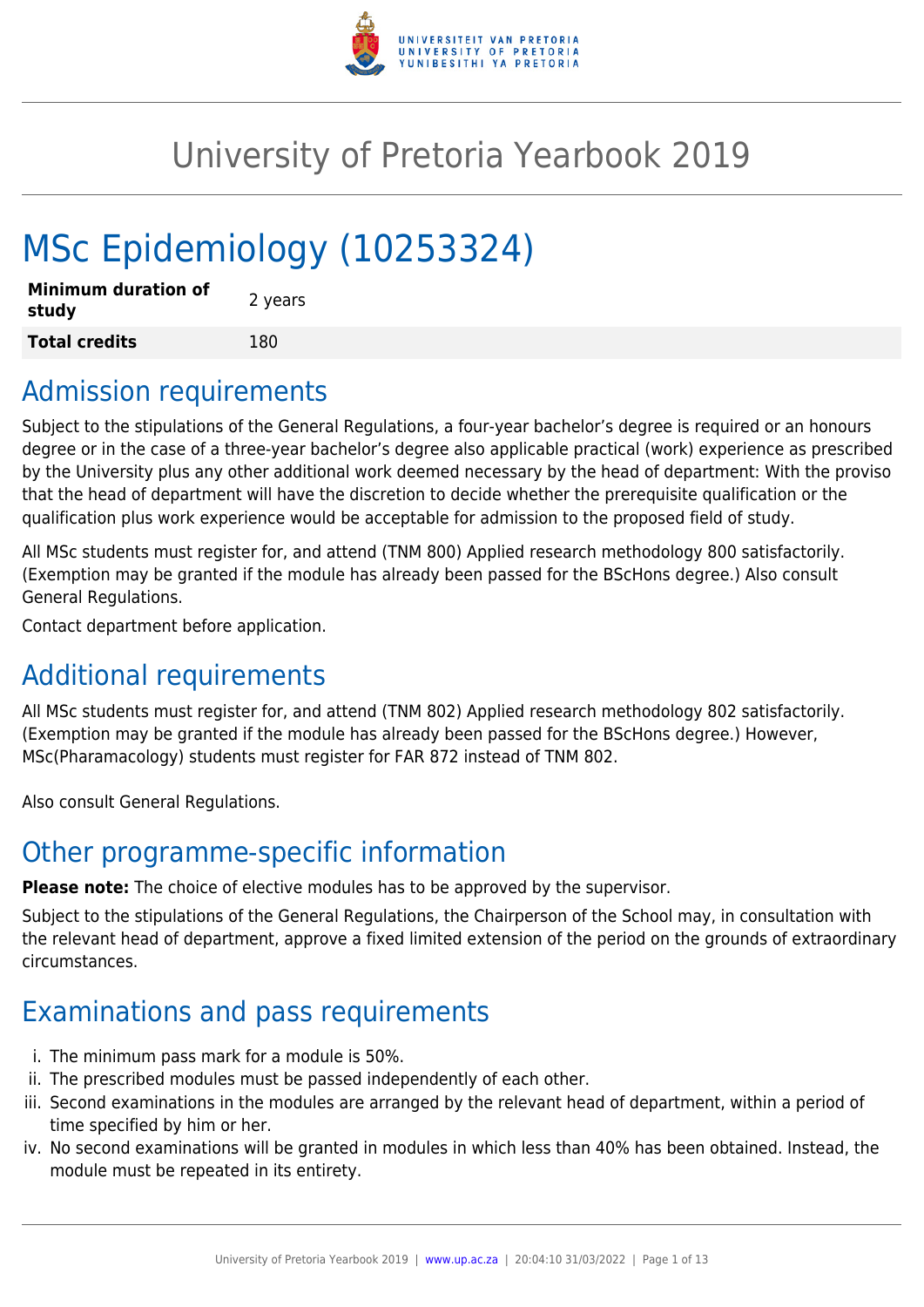

# University of Pretoria Yearbook 2019

# MSc Epidemiology (10253324)

| <b>Minimum duration of</b><br>study | 2 years |
|-------------------------------------|---------|
| <b>Total credits</b>                | 180     |

## Admission requirements

Subject to the stipulations of the General Regulations, a four-year bachelor's degree is required or an honours degree or in the case of a three-year bachelor's degree also applicable practical (work) experience as prescribed by the University plus any other additional work deemed necessary by the head of department: With the proviso that the head of department will have the discretion to decide whether the prerequisite qualification or the qualification plus work experience would be acceptable for admission to the proposed field of study.

All MSc students must register for, and attend (TNM 800) Applied research methodology 800 satisfactorily. (Exemption may be granted if the module has already been passed for the BScHons degree.) Also consult General Regulations.

Contact department before application.

## Additional requirements

All MSc students must register for, and attend (TNM 802) Applied research methodology 802 satisfactorily. (Exemption may be granted if the module has already been passed for the BScHons degree.) However, MSc(Pharamacology) students must register for FAR 872 instead of TNM 802.

Also consult General Regulations.

## Other programme-specific information

**Please note:** The choice of elective modules has to be approved by the supervisor.

Subject to the stipulations of the General Regulations, the Chairperson of the School may, in consultation with the relevant head of department, approve a fixed limited extension of the period on the grounds of extraordinary circumstances.

## Examinations and pass requirements

- i. The minimum pass mark for a module is 50%.
- ii. The prescribed modules must be passed independently of each other.
- iii. Second examinations in the modules are arranged by the relevant head of department, within a period of time specified by him or her.
- iv. No second examinations will be granted in modules in which less than 40% has been obtained. Instead, the module must be repeated in its entirety.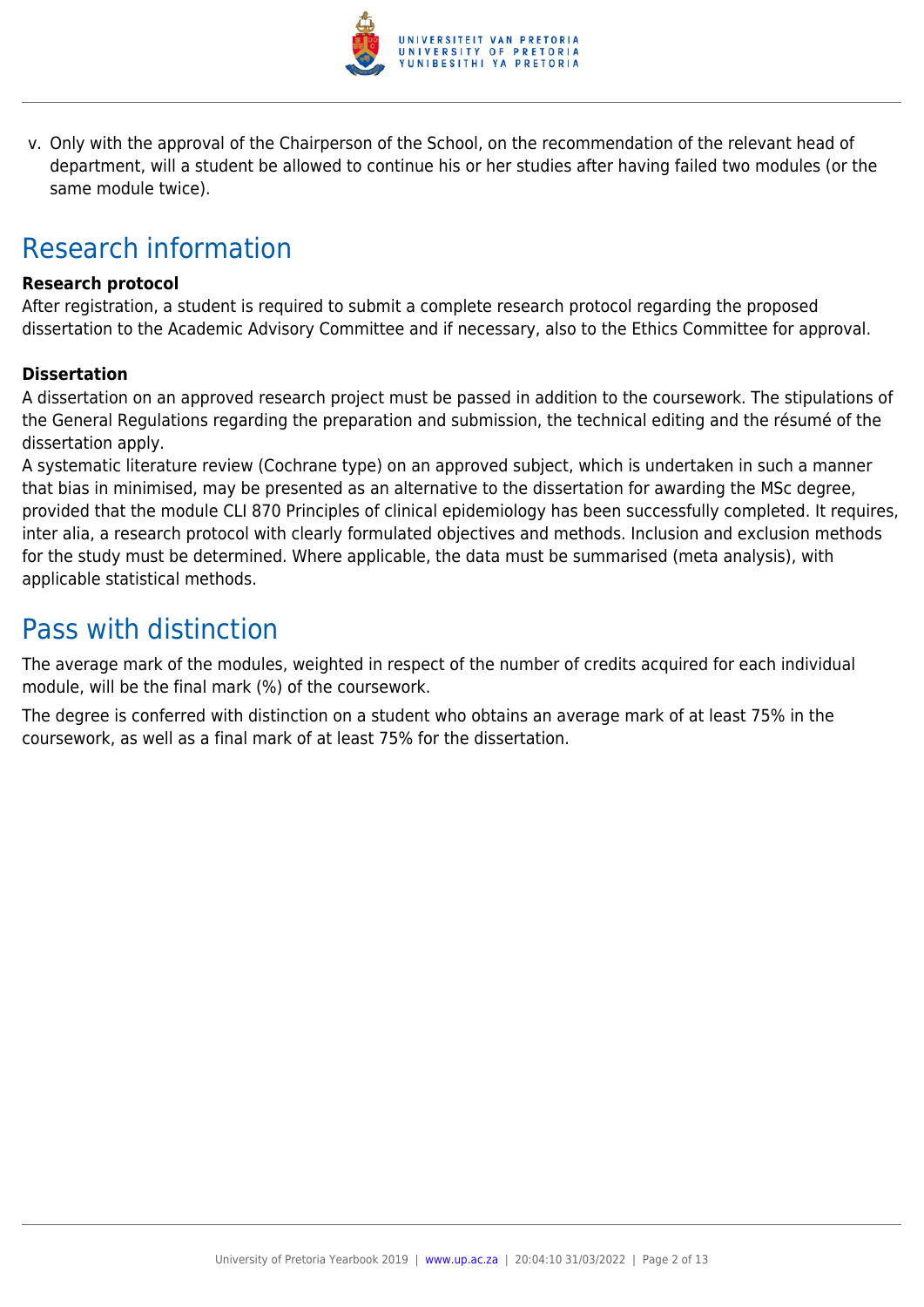

v. Only with the approval of the Chairperson of the School, on the recommendation of the relevant head of department, will a student be allowed to continue his or her studies after having failed two modules (or the same module twice).

## Research information

## **Research protocol**

After registration, a student is required to submit a complete research protocol regarding the proposed dissertation to the Academic Advisory Committee and if necessary, also to the Ethics Committee for approval.

## **Dissertation**

A dissertation on an approved research project must be passed in addition to the coursework. The stipulations of the General Regulations regarding the preparation and submission, the technical editing and the résumé of the dissertation apply.

A systematic literature review (Cochrane type) on an approved subject, which is undertaken in such a manner that bias in minimised, may be presented as an alternative to the dissertation for awarding the MSc degree, provided that the module CLI 870 Principles of clinical epidemiology has been successfully completed. It requires, inter alia, a research protocol with clearly formulated objectives and methods. Inclusion and exclusion methods for the study must be determined. Where applicable, the data must be summarised (meta analysis), with applicable statistical methods.

## Pass with distinction

The average mark of the modules, weighted in respect of the number of credits acquired for each individual module, will be the final mark (%) of the coursework.

The degree is conferred with distinction on a student who obtains an average mark of at least 75% in the coursework, as well as a final mark of at least 75% for the dissertation.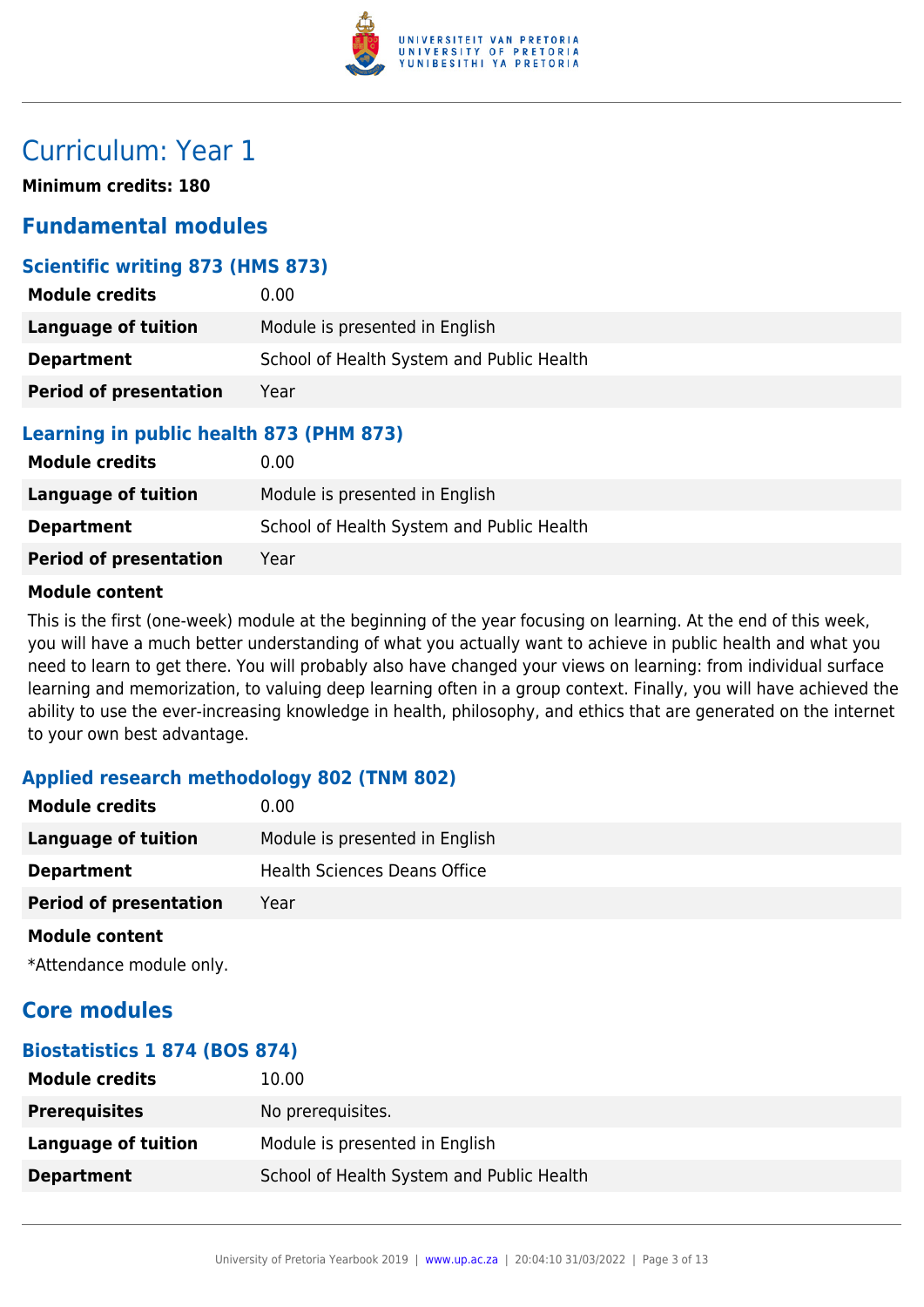

## Curriculum: Year 1

**Minimum credits: 180**

## **Fundamental modules**

## **Scientific writing 873 (HMS 873)**

| <b>Module credits</b>         | 0.00                                      |
|-------------------------------|-------------------------------------------|
| Language of tuition           | Module is presented in English            |
| <b>Department</b>             | School of Health System and Public Health |
| <b>Period of presentation</b> | Year                                      |

## **Learning in public health 873 (PHM 873)**

| <b>Module credits</b>         | $0.00 \,$                                 |
|-------------------------------|-------------------------------------------|
| Language of tuition           | Module is presented in English            |
| <b>Department</b>             | School of Health System and Public Health |
| <b>Period of presentation</b> | Year                                      |

## **Module content**

This is the first (one-week) module at the beginning of the year focusing on learning. At the end of this week, you will have a much better understanding of what you actually want to achieve in public health and what you need to learn to get there. You will probably also have changed your views on learning: from individual surface learning and memorization, to valuing deep learning often in a group context. Finally, you will have achieved the ability to use the ever-increasing knowledge in health, philosophy, and ethics that are generated on the internet to your own best advantage.

## **Applied research methodology 802 (TNM 802)**

| <b>Module credits</b>         | 0.00                                |
|-------------------------------|-------------------------------------|
| <b>Language of tuition</b>    | Module is presented in English      |
| <b>Department</b>             | <b>Health Sciences Deans Office</b> |
| <b>Period of presentation</b> | Year                                |
|                               |                                     |

#### **Module content**

\*Attendance module only.

## **Core modules**

## **Biostatistics 1 874 (BOS 874)**

| <b>Module credits</b> | 10.00                                     |
|-----------------------|-------------------------------------------|
| <b>Prerequisites</b>  | No prerequisites.                         |
| Language of tuition   | Module is presented in English            |
| <b>Department</b>     | School of Health System and Public Health |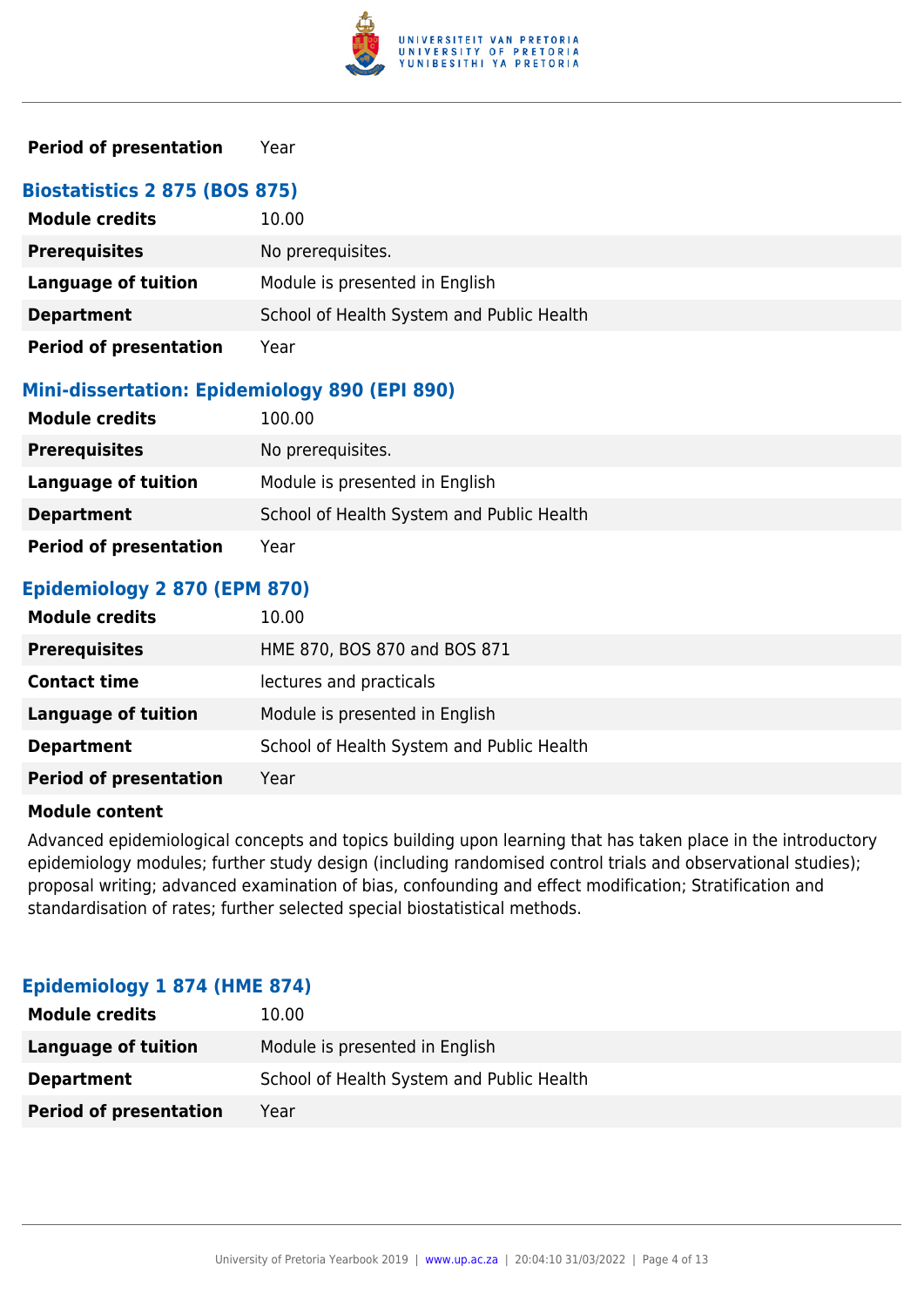

## **Period of presentation** Year

| <b>Biostatistics 2 875 (BOS 875)</b> |                                           |
|--------------------------------------|-------------------------------------------|
| <b>Module credits</b>                | 10.00                                     |
| <b>Prerequisites</b>                 | No prerequisites.                         |
| <b>Language of tuition</b>           | Module is presented in English            |
| <b>Department</b>                    | School of Health System and Public Health |
| <b>Period of presentation</b>        | Year                                      |

#### **Mini-dissertation: Epidemiology 890 (EPI 890)**

| <b>Module credits</b>         | 100.00                                    |
|-------------------------------|-------------------------------------------|
| <b>Prerequisites</b>          | No prerequisites.                         |
| Language of tuition           | Module is presented in English            |
| <b>Department</b>             | School of Health System and Public Health |
| <b>Period of presentation</b> | Year                                      |

## **Epidemiology 2 870 (EPM 870)**

| <b>Module credits</b>         | 10.00                                     |
|-------------------------------|-------------------------------------------|
| <b>Prerequisites</b>          | HME 870, BOS 870 and BOS 871              |
| <b>Contact time</b>           | lectures and practicals                   |
| <b>Language of tuition</b>    | Module is presented in English            |
| <b>Department</b>             | School of Health System and Public Health |
| <b>Period of presentation</b> | Year                                      |

#### **Module content**

Advanced epidemiological concepts and topics building upon learning that has taken place in the introductory epidemiology modules; further study design (including randomised control trials and observational studies); proposal writing; advanced examination of bias, confounding and effect modification; Stratification and standardisation of rates; further selected special biostatistical methods.

| <b>Module credits</b>         | 10.00                                     |
|-------------------------------|-------------------------------------------|
| Language of tuition           | Module is presented in English            |
| <b>Department</b>             | School of Health System and Public Health |
| <b>Period of presentation</b> | Year                                      |

#### **Epidemiology 1 874 (HME 874)**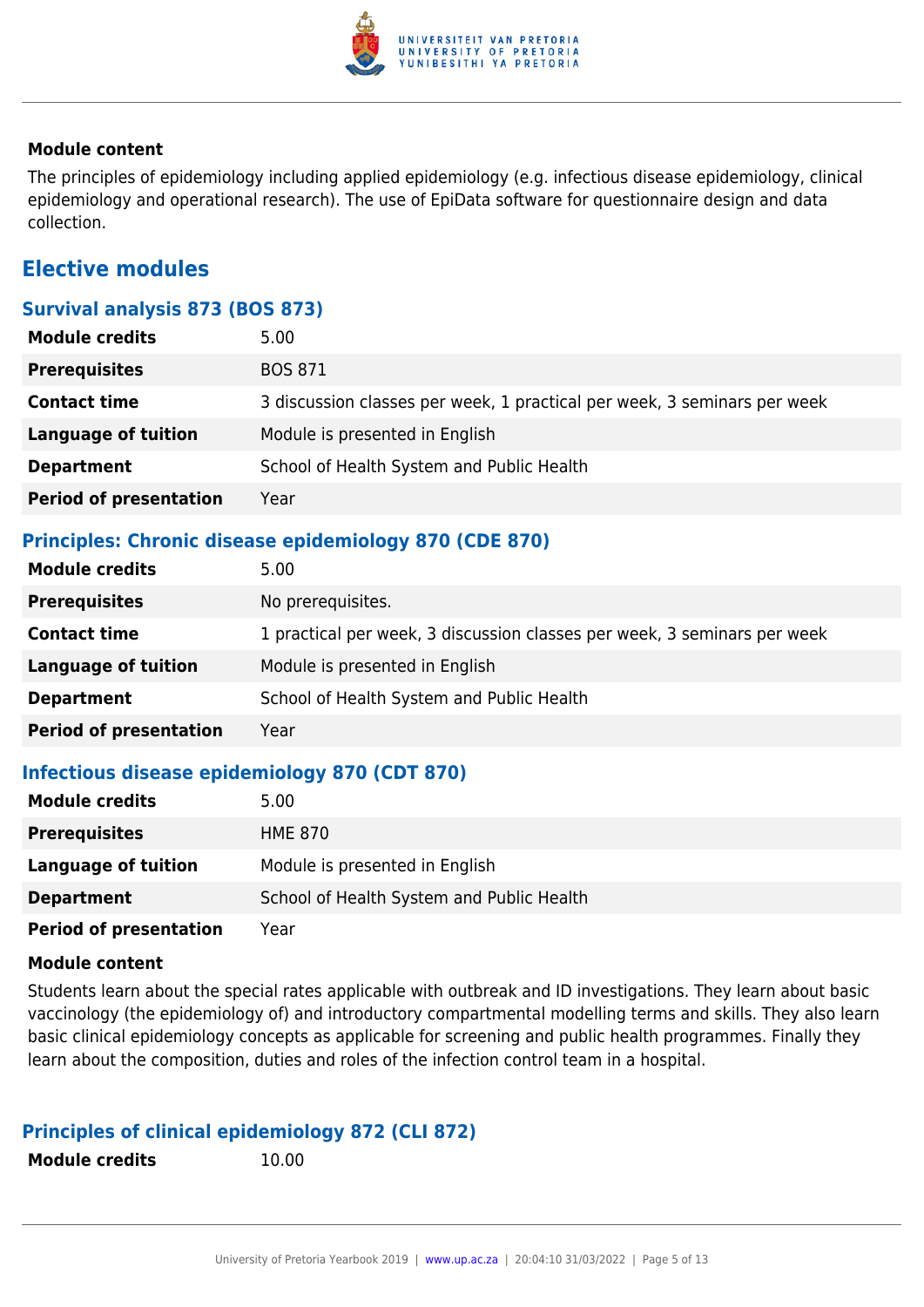

## **Module content**

The principles of epidemiology including applied epidemiology (e.g. infectious disease epidemiology, clinical epidemiology and operational research). The use of EpiData software for questionnaire design and data collection.

## **Elective modules**

## **Survival analysis 873 (BOS 873)**

| <b>Module credits</b>         | 5.00                                                                     |
|-------------------------------|--------------------------------------------------------------------------|
| <b>Prerequisites</b>          | <b>BOS 871</b>                                                           |
| <b>Contact time</b>           | 3 discussion classes per week, 1 practical per week, 3 seminars per week |
| <b>Language of tuition</b>    | Module is presented in English                                           |
| <b>Department</b>             | School of Health System and Public Health                                |
| <b>Period of presentation</b> | Year                                                                     |

## **Principles: Chronic disease epidemiology 870 (CDE 870)**

| <b>Module credits</b>         | 5.00                                                                     |
|-------------------------------|--------------------------------------------------------------------------|
| <b>Prerequisites</b>          | No prerequisites.                                                        |
| <b>Contact time</b>           | 1 practical per week, 3 discussion classes per week, 3 seminars per week |
| <b>Language of tuition</b>    | Module is presented in English                                           |
| <b>Department</b>             | School of Health System and Public Health                                |
| <b>Period of presentation</b> | Year                                                                     |

## **Infectious disease epidemiology 870 (CDT 870)**

| <b>Module credits</b>         | 5.00                                      |
|-------------------------------|-------------------------------------------|
| <b>Prerequisites</b>          | HME 870                                   |
| Language of tuition           | Module is presented in English            |
| <b>Department</b>             | School of Health System and Public Health |
| <b>Period of presentation</b> | Year                                      |

#### **Module content**

Students learn about the special rates applicable with outbreak and ID investigations. They learn about basic vaccinology (the epidemiology of) and introductory compartmental modelling terms and skills. They also learn basic clinical epidemiology concepts as applicable for screening and public health programmes. Finally they learn about the composition, duties and roles of the infection control team in a hospital.

## **Principles of clinical epidemiology 872 (CLI 872)**

| <b>Module credits</b> |
|-----------------------|
|-----------------------|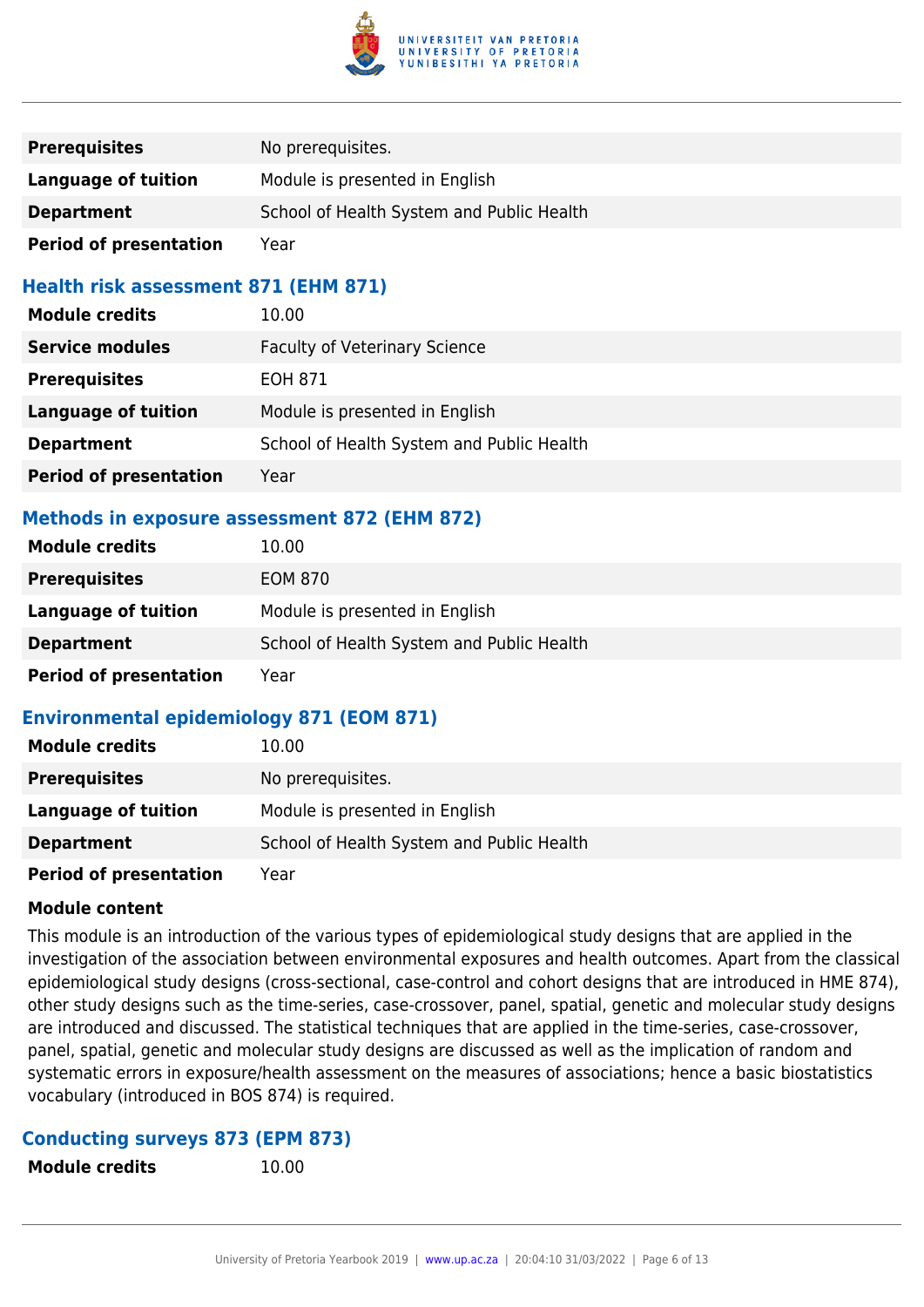

| <b>Prerequisites</b>          | No prerequisites.                         |
|-------------------------------|-------------------------------------------|
| Language of tuition           | Module is presented in English            |
| <b>Department</b>             | School of Health System and Public Health |
| <b>Period of presentation</b> | Year                                      |

## **Health risk assessment 871 (EHM 871)**

| <b>Module credits</b>         | 10.00                                     |
|-------------------------------|-------------------------------------------|
| <b>Service modules</b>        | <b>Faculty of Veterinary Science</b>      |
| <b>Prerequisites</b>          | EOH 871                                   |
| <b>Language of tuition</b>    | Module is presented in English            |
| <b>Department</b>             | School of Health System and Public Health |
| <b>Period of presentation</b> | Year                                      |

## **Methods in exposure assessment 872 (EHM 872)**

| <b>Module credits</b>         | 10.00                                     |
|-------------------------------|-------------------------------------------|
| <b>Prerequisites</b>          | <b>EOM 870</b>                            |
| Language of tuition           | Module is presented in English            |
| <b>Department</b>             | School of Health System and Public Health |
| <b>Period of presentation</b> | Year                                      |

## **Environmental epidemiology 871 (EOM 871)**

| <b>Module credits</b>         | 10.00                                     |
|-------------------------------|-------------------------------------------|
| <b>Prerequisites</b>          | No prerequisites.                         |
| <b>Language of tuition</b>    | Module is presented in English            |
| <b>Department</b>             | School of Health System and Public Health |
| <b>Period of presentation</b> | Year                                      |

## **Module content**

This module is an introduction of the various types of epidemiological study designs that are applied in the investigation of the association between environmental exposures and health outcomes. Apart from the classical epidemiological study designs (cross-sectional, case-control and cohort designs that are introduced in HME 874), other study designs such as the time-series, case-crossover, panel, spatial, genetic and molecular study designs are introduced and discussed. The statistical techniques that are applied in the time-series, case-crossover, panel, spatial, genetic and molecular study designs are discussed as well as the implication of random and systematic errors in exposure/health assessment on the measures of associations; hence a basic biostatistics vocabulary (introduced in BOS 874) is required.

#### **Conducting surveys 873 (EPM 873)**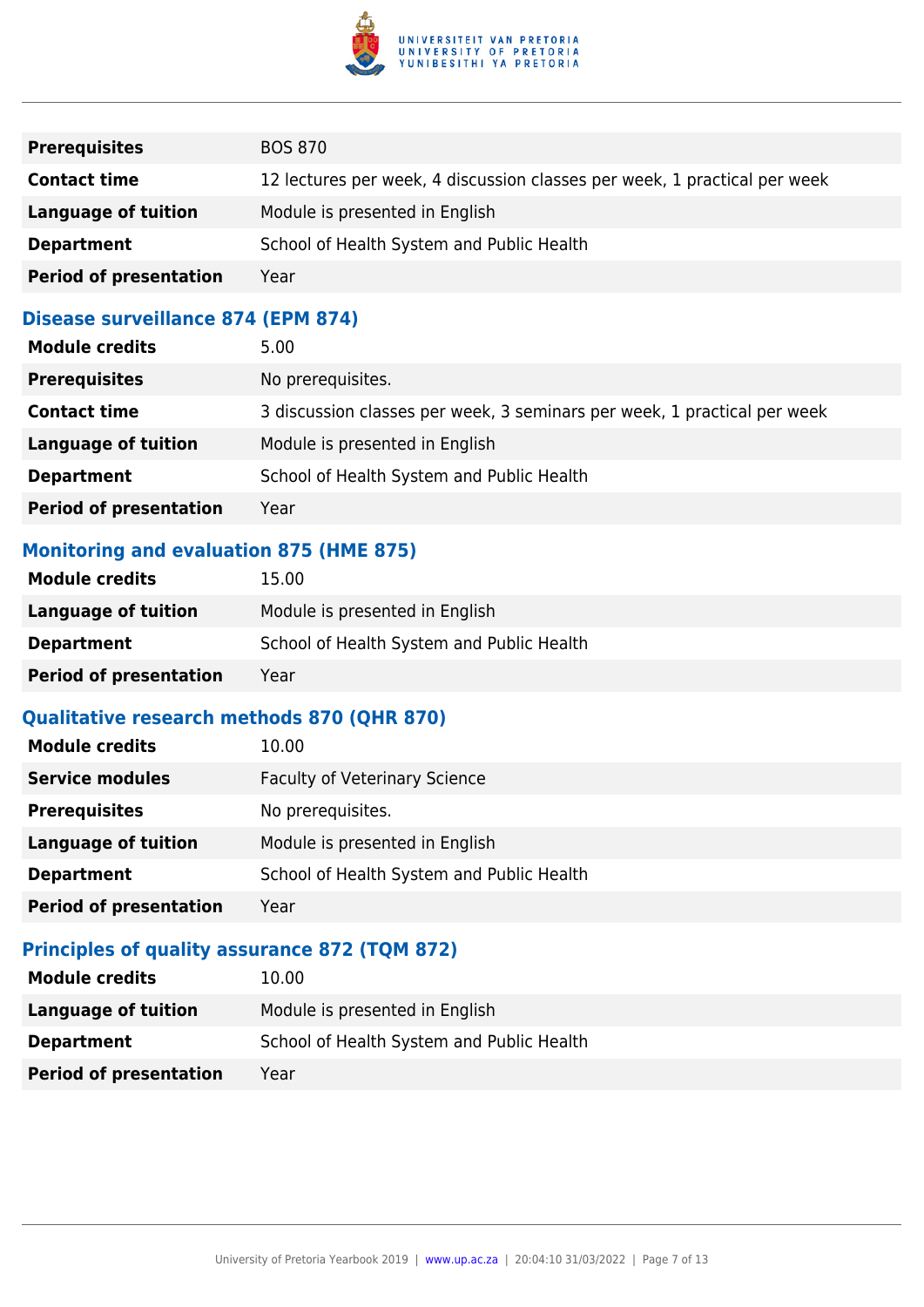

| <b>Prerequisites</b>          | <b>BOS 870</b>                                                            |
|-------------------------------|---------------------------------------------------------------------------|
| <b>Contact time</b>           | 12 lectures per week, 4 discussion classes per week, 1 practical per week |
| Language of tuition           | Module is presented in English                                            |
| <b>Department</b>             | School of Health System and Public Health                                 |
| <b>Period of presentation</b> | Year                                                                      |

## **Disease surveillance 874 (EPM 874)**

| <b>Module credits</b>         | 5.00                                                                     |
|-------------------------------|--------------------------------------------------------------------------|
| <b>Prerequisites</b>          | No prerequisites.                                                        |
| <b>Contact time</b>           | 3 discussion classes per week, 3 seminars per week, 1 practical per week |
| <b>Language of tuition</b>    | Module is presented in English                                           |
| <b>Department</b>             | School of Health System and Public Health                                |
| <b>Period of presentation</b> | Year                                                                     |

## **Monitoring and evaluation 875 (HME 875)**

| <b>Module credits</b>         | 15.00                                     |
|-------------------------------|-------------------------------------------|
| Language of tuition           | Module is presented in English            |
| <b>Department</b>             | School of Health System and Public Health |
| <b>Period of presentation</b> | Year                                      |

## **Qualitative research methods 870 (QHR 870)**

| <b>Module credits</b>         | 10.00                                     |
|-------------------------------|-------------------------------------------|
| <b>Service modules</b>        | <b>Faculty of Veterinary Science</b>      |
| <b>Prerequisites</b>          | No prerequisites.                         |
| <b>Language of tuition</b>    | Module is presented in English            |
| <b>Department</b>             | School of Health System and Public Health |
| <b>Period of presentation</b> | Year                                      |

## **Principles of quality assurance 872 (TQM 872)**

| <b>Module credits</b>         | 10.00                                     |
|-------------------------------|-------------------------------------------|
| Language of tuition           | Module is presented in English            |
| <b>Department</b>             | School of Health System and Public Health |
| <b>Period of presentation</b> | Year                                      |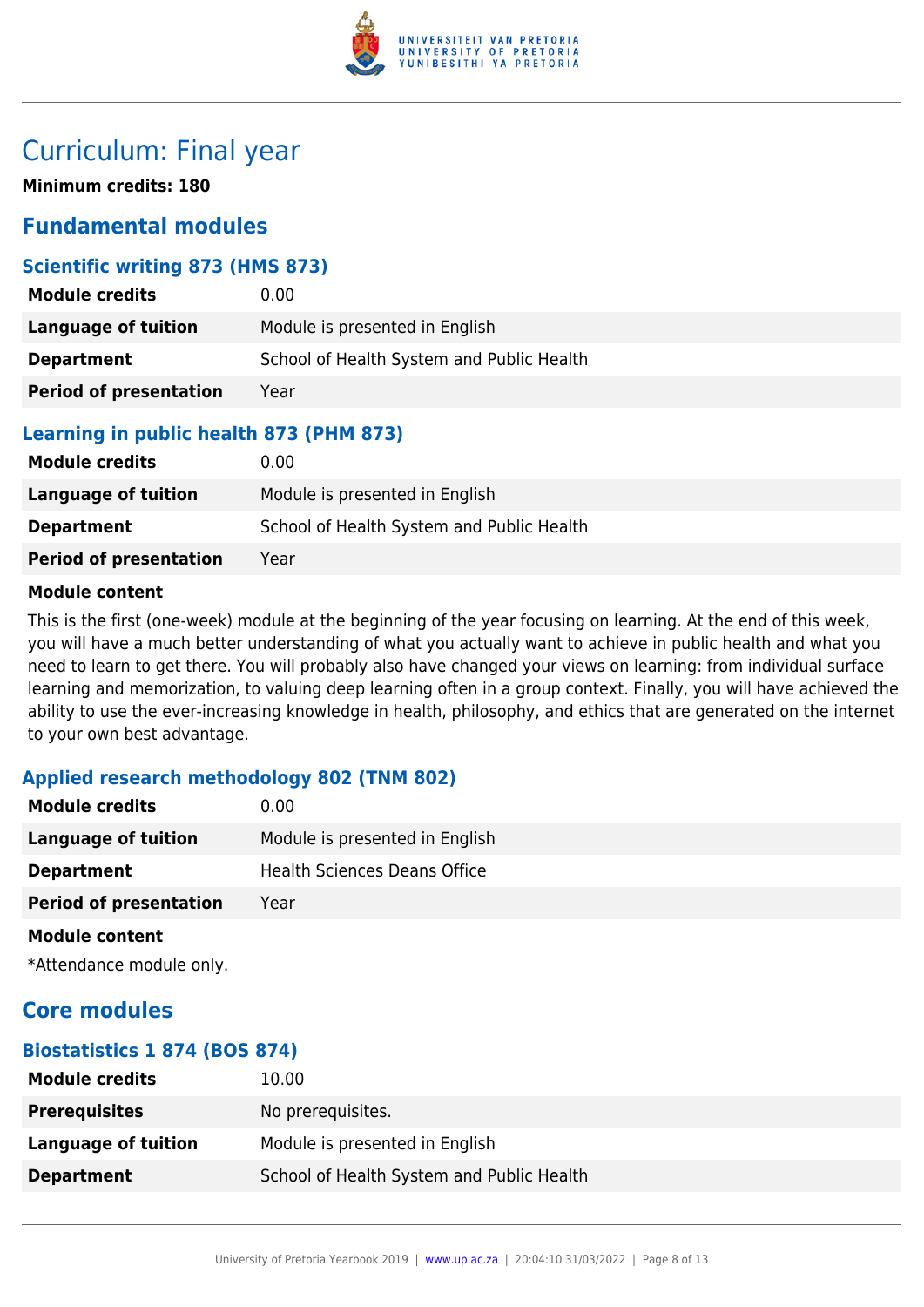

## Curriculum: Final year

**Minimum credits: 180**

## **Fundamental modules**

## **Scientific writing 873 (HMS 873)**

| <b>Module credits</b>         | 0.00                                      |
|-------------------------------|-------------------------------------------|
| Language of tuition           | Module is presented in English            |
| <b>Department</b>             | School of Health System and Public Health |
| <b>Period of presentation</b> | Year                                      |

## **Learning in public health 873 (PHM 873)**

| <b>Module credits</b>         | $0.00 \,$                                 |
|-------------------------------|-------------------------------------------|
| Language of tuition           | Module is presented in English            |
| <b>Department</b>             | School of Health System and Public Health |
| <b>Period of presentation</b> | Year                                      |

## **Module content**

This is the first (one-week) module at the beginning of the year focusing on learning. At the end of this week, you will have a much better understanding of what you actually want to achieve in public health and what you need to learn to get there. You will probably also have changed your views on learning: from individual surface learning and memorization, to valuing deep learning often in a group context. Finally, you will have achieved the ability to use the ever-increasing knowledge in health, philosophy, and ethics that are generated on the internet to your own best advantage.

## **Applied research methodology 802 (TNM 802)**

| <b>Module credits</b>         | 0.00                           |
|-------------------------------|--------------------------------|
| <b>Language of tuition</b>    | Module is presented in English |
| <b>Department</b>             | Health Sciences Deans Office   |
| <b>Period of presentation</b> | Year                           |
|                               |                                |

#### **Module content**

\*Attendance module only.

## **Core modules**

## **Biostatistics 1 874 (BOS 874)**

| <b>Module credits</b> | 10.00                                     |
|-----------------------|-------------------------------------------|
| <b>Prerequisites</b>  | No prerequisites.                         |
| Language of tuition   | Module is presented in English            |
| <b>Department</b>     | School of Health System and Public Health |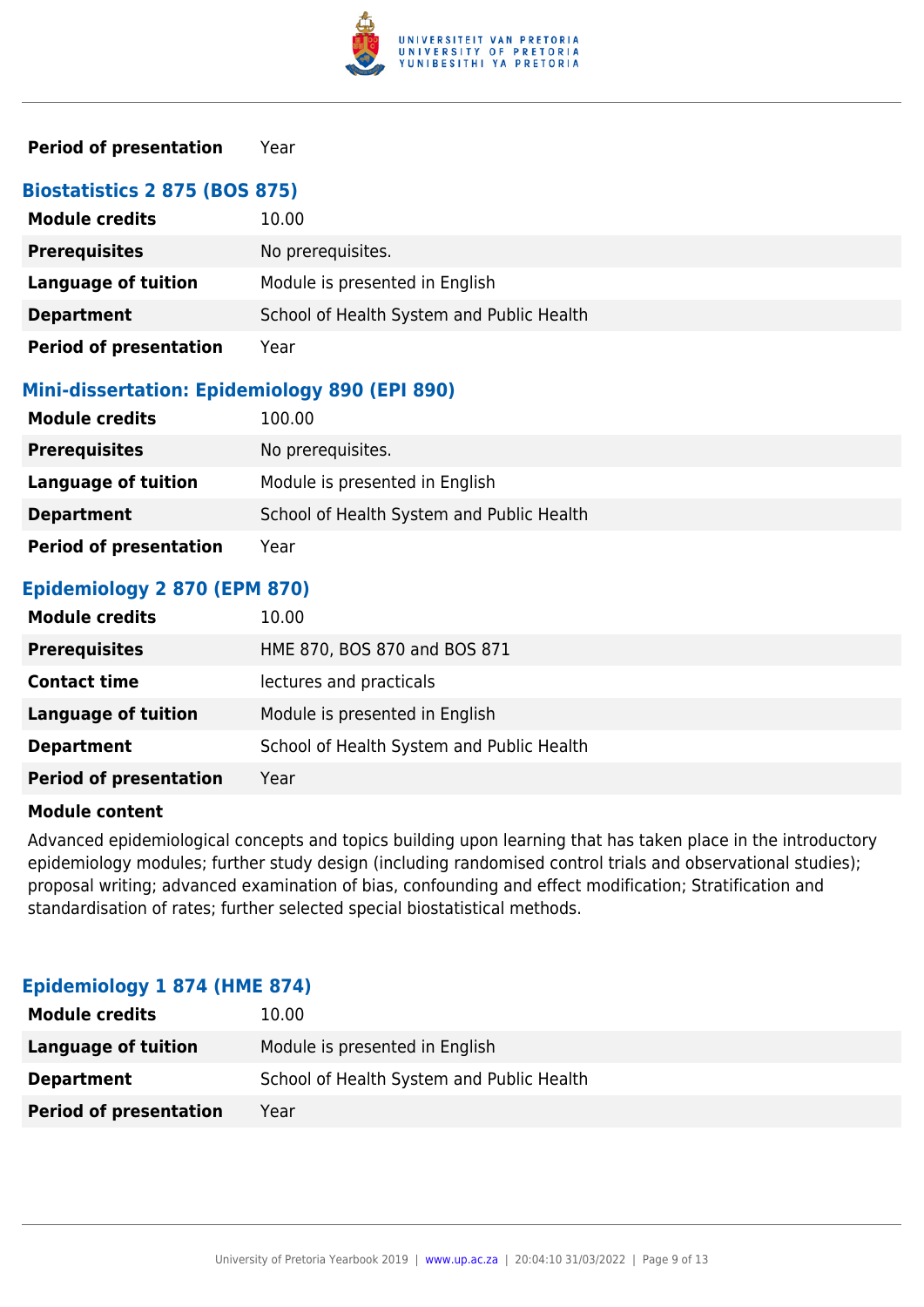

## **Period of presentation** Year

| <b>Biostatistics 2 875 (BOS 875)</b> |                                           |
|--------------------------------------|-------------------------------------------|
| <b>Module credits</b>                | 10.00                                     |
| <b>Prerequisites</b>                 | No prerequisites.                         |
| <b>Language of tuition</b>           | Module is presented in English            |
| <b>Department</b>                    | School of Health System and Public Health |
| <b>Period of presentation</b>        | Year                                      |

#### **Mini-dissertation: Epidemiology 890 (EPI 890)**

| <b>Module credits</b>         | 100.00                                    |
|-------------------------------|-------------------------------------------|
| <b>Prerequisites</b>          | No prerequisites.                         |
| Language of tuition           | Module is presented in English            |
| <b>Department</b>             | School of Health System and Public Health |
| <b>Period of presentation</b> | Year                                      |

## **Epidemiology 2 870 (EPM 870)**

| <b>Module credits</b>         | 10.00                                     |
|-------------------------------|-------------------------------------------|
| <b>Prerequisites</b>          | HME 870, BOS 870 and BOS 871              |
| <b>Contact time</b>           | lectures and practicals                   |
| <b>Language of tuition</b>    | Module is presented in English            |
| <b>Department</b>             | School of Health System and Public Health |
| <b>Period of presentation</b> | Year                                      |

#### **Module content**

Advanced epidemiological concepts and topics building upon learning that has taken place in the introductory epidemiology modules; further study design (including randomised control trials and observational studies); proposal writing; advanced examination of bias, confounding and effect modification; Stratification and standardisation of rates; further selected special biostatistical methods.

| <b>Module credits</b>         | 10.00                                     |
|-------------------------------|-------------------------------------------|
| Language of tuition           | Module is presented in English            |
| <b>Department</b>             | School of Health System and Public Health |
| <b>Period of presentation</b> | Year                                      |

#### **Epidemiology 1 874 (HME 874)**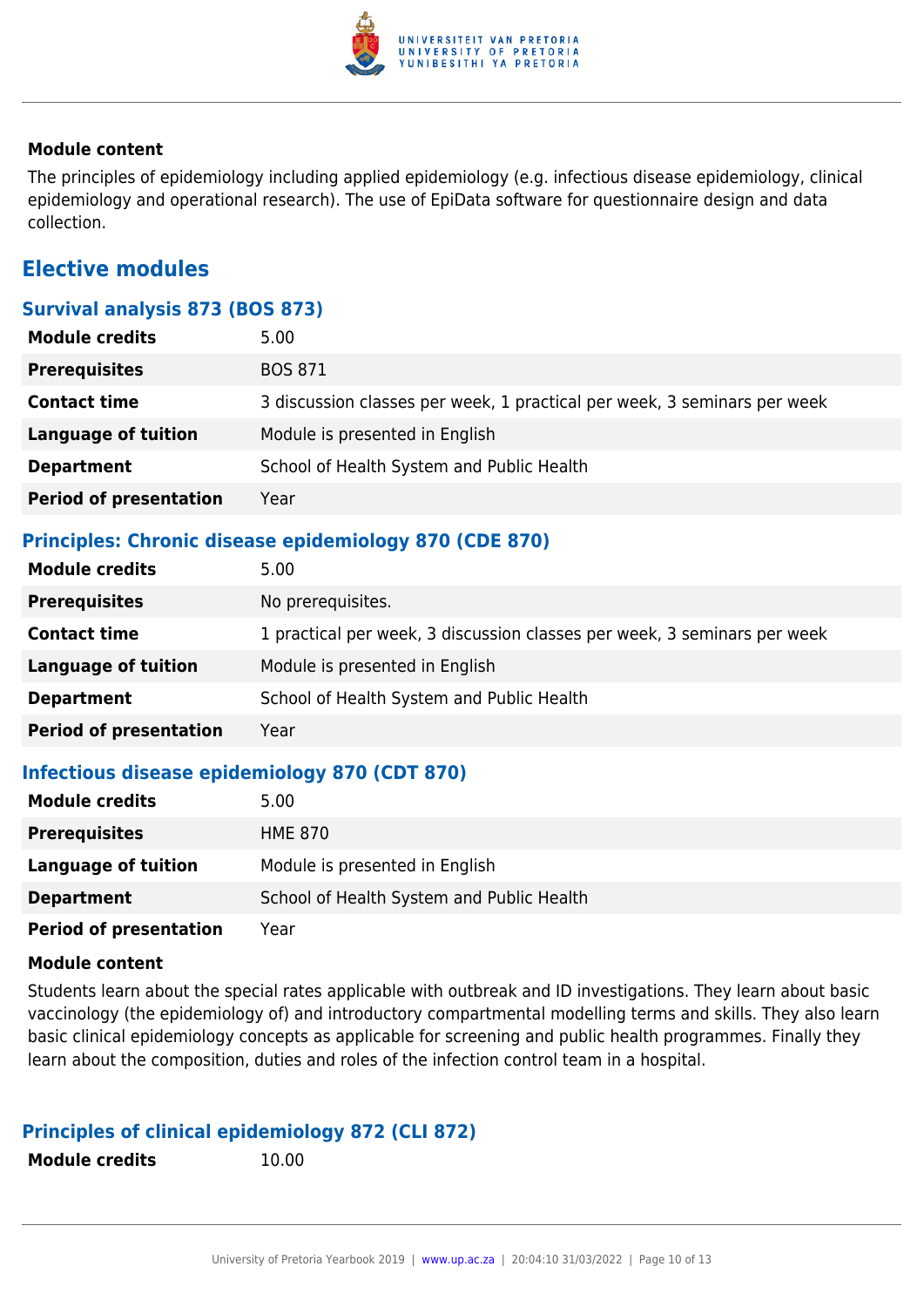

## **Module content**

The principles of epidemiology including applied epidemiology (e.g. infectious disease epidemiology, clinical epidemiology and operational research). The use of EpiData software for questionnaire design and data collection.

## **Elective modules**

## **Survival analysis 873 (BOS 873)**

| <b>Module credits</b>         | 5.00                                                                     |
|-------------------------------|--------------------------------------------------------------------------|
| <b>Prerequisites</b>          | <b>BOS 871</b>                                                           |
| <b>Contact time</b>           | 3 discussion classes per week, 1 practical per week, 3 seminars per week |
| <b>Language of tuition</b>    | Module is presented in English                                           |
| <b>Department</b>             | School of Health System and Public Health                                |
| <b>Period of presentation</b> | Year                                                                     |

## **Principles: Chronic disease epidemiology 870 (CDE 870)**

| <b>Module credits</b>         | 5.00                                                                     |
|-------------------------------|--------------------------------------------------------------------------|
| <b>Prerequisites</b>          | No prerequisites.                                                        |
| <b>Contact time</b>           | 1 practical per week, 3 discussion classes per week, 3 seminars per week |
| <b>Language of tuition</b>    | Module is presented in English                                           |
| <b>Department</b>             | School of Health System and Public Health                                |
| <b>Period of presentation</b> | Year                                                                     |

## **Infectious disease epidemiology 870 (CDT 870)**

| <b>Module credits</b>         | 5.00                                      |
|-------------------------------|-------------------------------------------|
| <b>Prerequisites</b>          | HME 870                                   |
| Language of tuition           | Module is presented in English            |
| <b>Department</b>             | School of Health System and Public Health |
| <b>Period of presentation</b> | Year                                      |

#### **Module content**

Students learn about the special rates applicable with outbreak and ID investigations. They learn about basic vaccinology (the epidemiology of) and introductory compartmental modelling terms and skills. They also learn basic clinical epidemiology concepts as applicable for screening and public health programmes. Finally they learn about the composition, duties and roles of the infection control team in a hospital.

## **Principles of clinical epidemiology 872 (CLI 872)**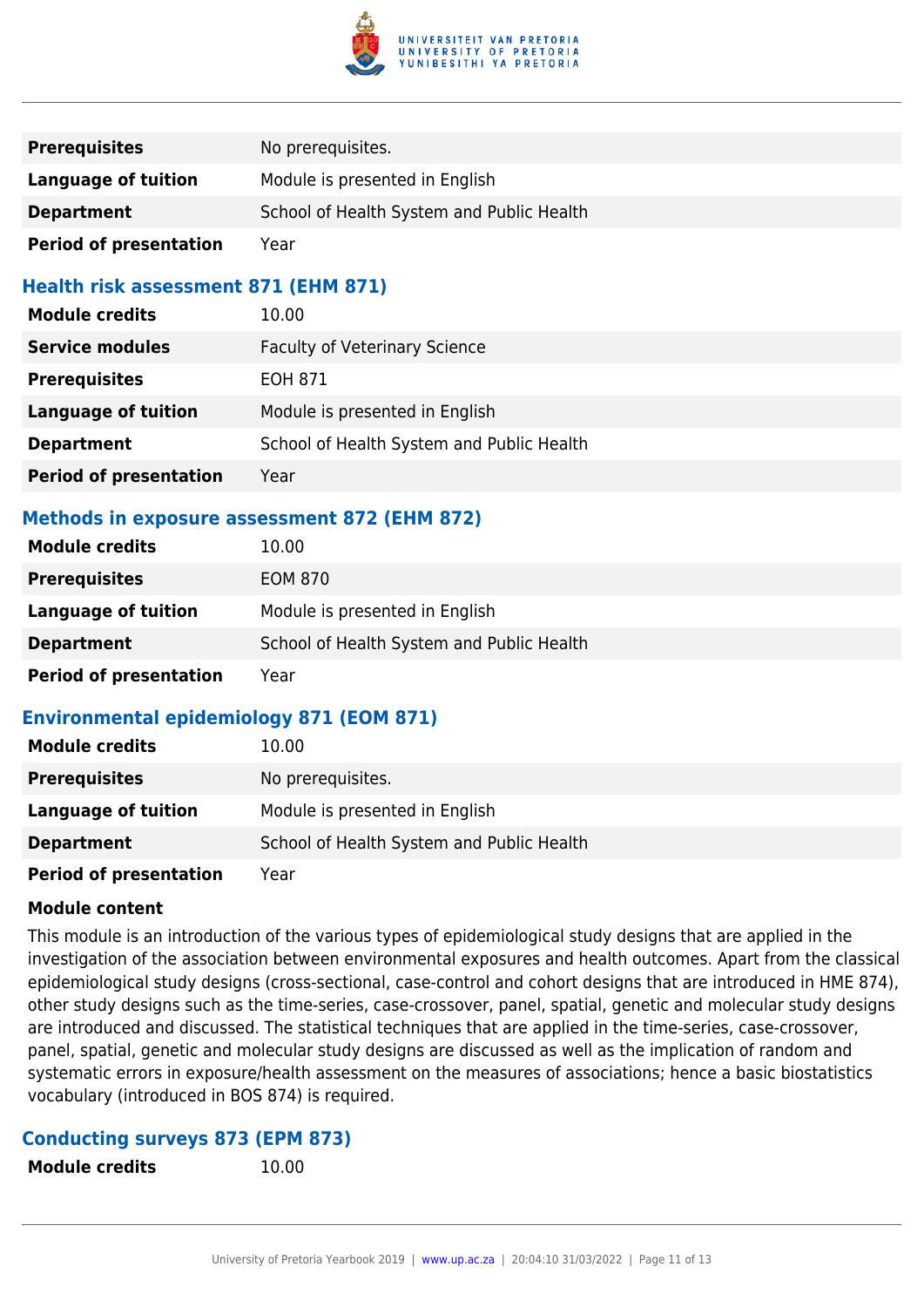

| <b>Prerequisites</b>          | No prerequisites.                         |
|-------------------------------|-------------------------------------------|
| Language of tuition           | Module is presented in English            |
| <b>Department</b>             | School of Health System and Public Health |
| <b>Period of presentation</b> | Year                                      |

## **Health risk assessment 871 (EHM 871)**

| <b>Module credits</b>         | 10.00                                     |
|-------------------------------|-------------------------------------------|
| <b>Service modules</b>        | <b>Faculty of Veterinary Science</b>      |
| <b>Prerequisites</b>          | EOH 871                                   |
| <b>Language of tuition</b>    | Module is presented in English            |
| <b>Department</b>             | School of Health System and Public Health |
| <b>Period of presentation</b> | Year                                      |

## **Methods in exposure assessment 872 (EHM 872)**

| <b>Module credits</b>         | 10.00                                     |
|-------------------------------|-------------------------------------------|
| <b>Prerequisites</b>          | <b>EOM 870</b>                            |
| Language of tuition           | Module is presented in English            |
| <b>Department</b>             | School of Health System and Public Health |
| <b>Period of presentation</b> | Year                                      |

## **Environmental epidemiology 871 (EOM 871)**

| <b>Module credits</b>         | 10.00                                     |
|-------------------------------|-------------------------------------------|
| <b>Prerequisites</b>          | No prerequisites.                         |
| <b>Language of tuition</b>    | Module is presented in English            |
| <b>Department</b>             | School of Health System and Public Health |
| <b>Period of presentation</b> | Year                                      |

## **Module content**

This module is an introduction of the various types of epidemiological study designs that are applied in the investigation of the association between environmental exposures and health outcomes. Apart from the classical epidemiological study designs (cross-sectional, case-control and cohort designs that are introduced in HME 874), other study designs such as the time-series, case-crossover, panel, spatial, genetic and molecular study designs are introduced and discussed. The statistical techniques that are applied in the time-series, case-crossover, panel, spatial, genetic and molecular study designs are discussed as well as the implication of random and systematic errors in exposure/health assessment on the measures of associations; hence a basic biostatistics vocabulary (introduced in BOS 874) is required.

#### **Conducting surveys 873 (EPM 873)**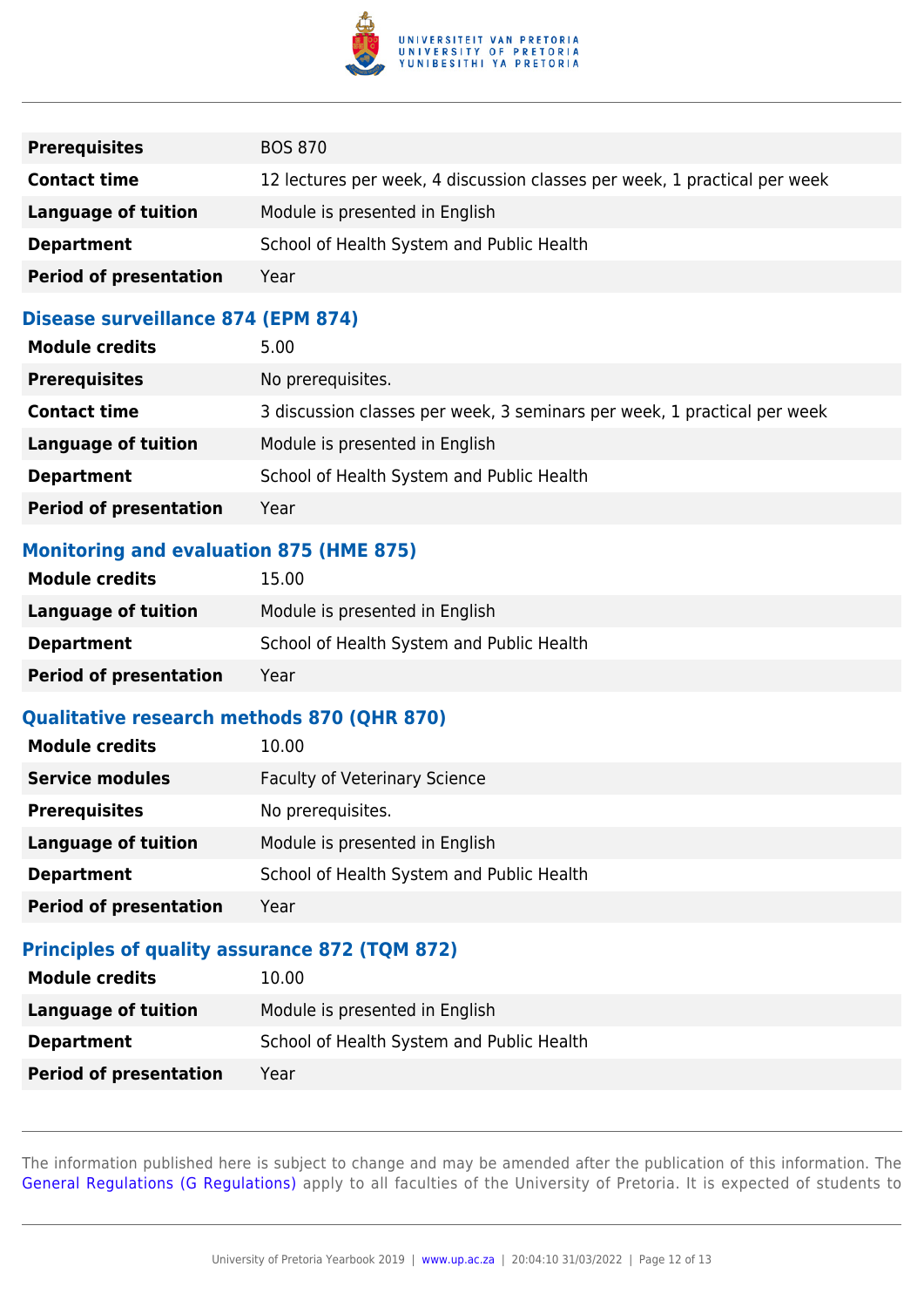

| <b>Prerequisites</b>          | <b>BOS 870</b>                                                            |
|-------------------------------|---------------------------------------------------------------------------|
| <b>Contact time</b>           | 12 lectures per week, 4 discussion classes per week, 1 practical per week |
| Language of tuition           | Module is presented in English                                            |
| <b>Department</b>             | School of Health System and Public Health                                 |
| <b>Period of presentation</b> | Year                                                                      |

#### **Disease surveillance 874 (EPM 874)**

| <b>Module credits</b>         | 5.00                                                                     |
|-------------------------------|--------------------------------------------------------------------------|
| <b>Prerequisites</b>          | No prerequisites.                                                        |
| <b>Contact time</b>           | 3 discussion classes per week, 3 seminars per week, 1 practical per week |
| <b>Language of tuition</b>    | Module is presented in English                                           |
| <b>Department</b>             | School of Health System and Public Health                                |
| <b>Period of presentation</b> | Year                                                                     |

## **Monitoring and evaluation 875 (HME 875)**

| <b>Module credits</b>         | 15.00                                     |
|-------------------------------|-------------------------------------------|
| Language of tuition           | Module is presented in English            |
| <b>Department</b>             | School of Health System and Public Health |
| <b>Period of presentation</b> | Year                                      |

## **Qualitative research methods 870 (QHR 870)**

| <b>Module credits</b>         | 10.00                                     |
|-------------------------------|-------------------------------------------|
| <b>Service modules</b>        | <b>Faculty of Veterinary Science</b>      |
| <b>Prerequisites</b>          | No prerequisites.                         |
| <b>Language of tuition</b>    | Module is presented in English            |
| <b>Department</b>             | School of Health System and Public Health |
| <b>Period of presentation</b> | Year                                      |

## **Principles of quality assurance 872 (TQM 872)**

| <b>Module credits</b>         | 10.00                                     |
|-------------------------------|-------------------------------------------|
| Language of tuition           | Module is presented in English            |
| <b>Department</b>             | School of Health System and Public Health |
| <b>Period of presentation</b> | Year                                      |

The information published here is subject to change and may be amended after the publication of this information. The [General Regulations \(G Regulations\)](https://www.up.ac.za/parents/yearbooks/2019/rules/view/REG) apply to all faculties of the University of Pretoria. It is expected of students to